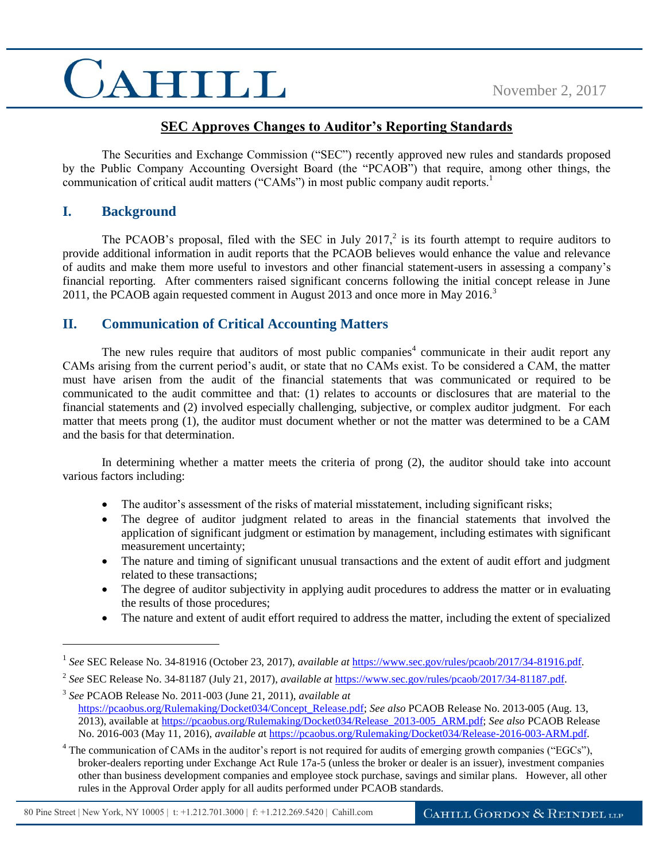### CAHILL

### **SEC Approves Changes to Auditor's Reporting Standards**

The Securities and Exchange Commission ("SEC") recently approved new rules and standards proposed by the Public Company Accounting Oversight Board (the "PCAOB") that require, among other things, the communication of critical audit matters ("CAMs") in most public company audit reports.<sup>1</sup>

### **I. Background**

 $\overline{a}$ 

The PCAOB's proposal, filed with the SEC in July  $2017<sup>2</sup>$  is its fourth attempt to require auditors to provide additional information in audit reports that the PCAOB believes would enhance the value and relevance of audits and make them more useful to investors and other financial statement-users in assessing a company's financial reporting. After commenters raised significant concerns following the initial concept release in June 2011, the PCAOB again requested comment in August 2013 and once more in May 2016.<sup>3</sup>

### **II. Communication of Critical Accounting Matters**

The new rules require that auditors of most public companies<sup>4</sup> communicate in their audit report any CAMs arising from the current period's audit, or state that no CAMs exist. To be considered a CAM, the matter must have arisen from the audit of the financial statements that was communicated or required to be communicated to the audit committee and that: (1) relates to accounts or disclosures that are material to the financial statements and (2) involved especially challenging, subjective, or complex auditor judgment. For each matter that meets prong (1), the auditor must document whether or not the matter was determined to be a CAM and the basis for that determination.

In determining whether a matter meets the criteria of prong (2), the auditor should take into account various factors including:

- The auditor's assessment of the risks of material misstatement, including significant risks;
- The degree of auditor judgment related to areas in the financial statements that involved the application of significant judgment or estimation by management, including estimates with significant measurement uncertainty;
- The nature and timing of significant unusual transactions and the extent of audit effort and judgment related to these transactions;
- The degree of auditor subjectivity in applying audit procedures to address the matter or in evaluating the results of those procedures;
- The nature and extent of audit effort required to address the matter, including the extent of specialized

<sup>1</sup> *See* SEC Release No. 34-81916 (October 23, 2017), *available at* [https://www.sec.gov/rules/pcaob/2017/34-81916.pdf.](https://www.sec.gov/rules/pcaob/2017/34-81916.pdf)

<sup>2</sup> *See* SEC Release No. 34-81187 (July 21, 2017), *available at* [https://www.sec.gov/rules/pcaob/2017/34-81187.pdf.](https://www.sec.gov/rules/pcaob/2017/34-81187.pdf)

<sup>3</sup> *See* PCAOB Release No. 2011-003 (June 21, 2011), *available at* [https://pcaobus.org/Rulemaking/Docket034/Concept\\_Release.pdf;](https://pcaobus.org/Rulemaking/Docket034/Concept_Release.pdf) *See also* PCAOB Release No. 2013-005 (Aug. 13, 2013), available a[t https://pcaobus.org/Rulemaking/Docket034/Release\\_2013-005\\_ARM.pdf;](https://pcaobus.org/Rulemaking/Docket034/Release_2013-005_ARM.pdf) *See also* PCAOB Release No. 2016-003 (May 11, 2016), *available a*[t https://pcaobus.org/Rulemaking/Docket034/Release-2016-003-ARM.pdf.](https://pcaobus.org/Rulemaking/Docket034/Release-2016-003-ARM.pdf)

 $4$  The communication of CAMs in the auditor's report is not required for audits of emerging growth companies ("EGCs"), broker-dealers reporting under Exchange Act Rule 17a-5 (unless the broker or dealer is an issuer), investment companies other than business development companies and employee stock purchase, savings and similar plans. However, all other rules in the Approval Order apply for all audits performed under PCAOB standards.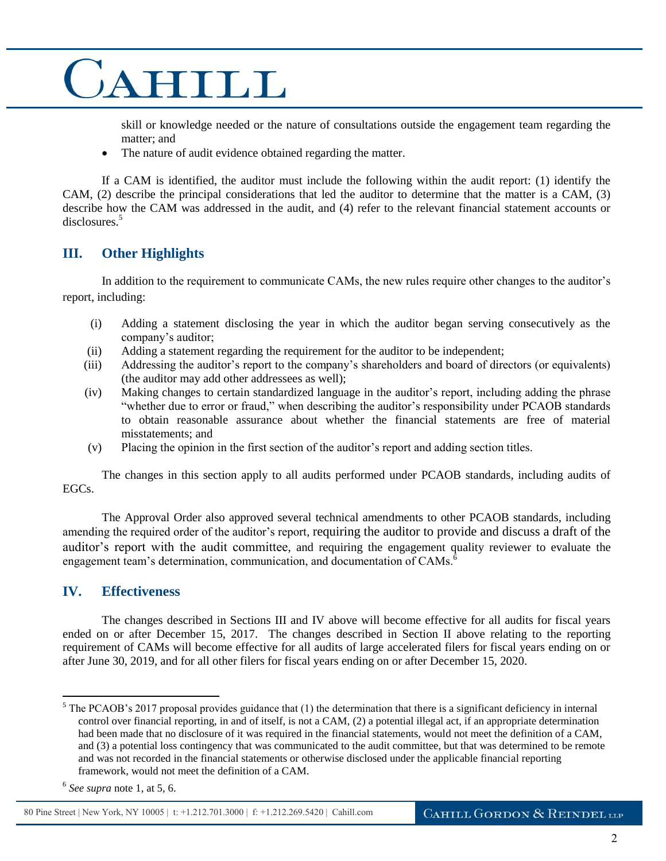## CAHILL

skill or knowledge needed or the nature of consultations outside the engagement team regarding the matter; and

• The nature of audit evidence obtained regarding the matter.

If a CAM is identified, the auditor must include the following within the audit report: (1) identify the CAM, (2) describe the principal considerations that led the auditor to determine that the matter is a CAM, (3) describe how the CAM was addressed in the audit, and (4) refer to the relevant financial statement accounts or disclosures.<sup>5</sup>

### **III. Other Highlights**

In addition to the requirement to communicate CAMs, the new rules require other changes to the auditor's report, including:

- (i) Adding a statement disclosing the year in which the auditor began serving consecutively as the company's auditor;
- (ii) Adding a statement regarding the requirement for the auditor to be independent;
- (iii) Addressing the auditor's report to the company's shareholders and board of directors (or equivalents) (the auditor may add other addressees as well);
- (iv) Making changes to certain standardized language in the auditor's report, including adding the phrase "whether due to error or fraud," when describing the auditor's responsibility under PCAOB standards to obtain reasonable assurance about whether the financial statements are free of material misstatements; and
- (v) Placing the opinion in the first section of the auditor's report and adding section titles.

The changes in this section apply to all audits performed under PCAOB standards, including audits of EGCs.

The Approval Order also approved several technical amendments to other PCAOB standards, including amending the required order of the auditor's report, requiring the auditor to provide and discuss a draft of the auditor's report with the audit committee, and requiring the engagement quality reviewer to evaluate the engagement team's determination, communication, and documentation of CAMs.<sup>6</sup>

### **IV. Effectiveness**

The changes described in Sections III and IV above will become effective for all audits for fiscal years ended on or after December 15, 2017. The changes described in Section II above relating to the reporting requirement of CAMs will become effective for all audits of large accelerated filers for fiscal years ending on or after June 30, 2019, and for all other filers for fiscal years ending on or after December 15, 2020.

 $\overline{a}$ 

80 Pine Street | New York, NY 10005 | t: +1.212.701.3000 | f: +1.212.269.5420 | Cahill.com

 $<sup>5</sup>$  The PCAOB's 2017 proposal provides guidance that (1) the determination that there is a significant deficiency in internal</sup> control over financial reporting, in and of itself, is not a CAM, (2) a potential illegal act, if an appropriate determination had been made that no disclosure of it was required in the financial statements, would not meet the definition of a CAM, and (3) a potential loss contingency that was communicated to the audit committee, but that was determined to be remote and was not recorded in the financial statements or otherwise disclosed under the applicable financial reporting framework, would not meet the definition of a CAM.

<sup>6</sup> *See supra* note 1, at 5, 6.